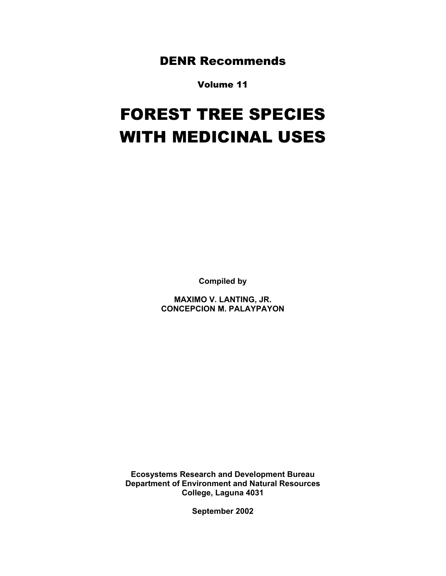DENR Recommends

Volume 11

# FOREST TREE SPECIES WITH MEDICINAL USES

**Compiled by** 

**MAXIMO V. LANTING, JR. CONCEPCION M. PALAYPAYON** 

**Ecosystems Research and Development Bureau Department of Environment and Natural Resources College, Laguna 4031** 

**September 2002**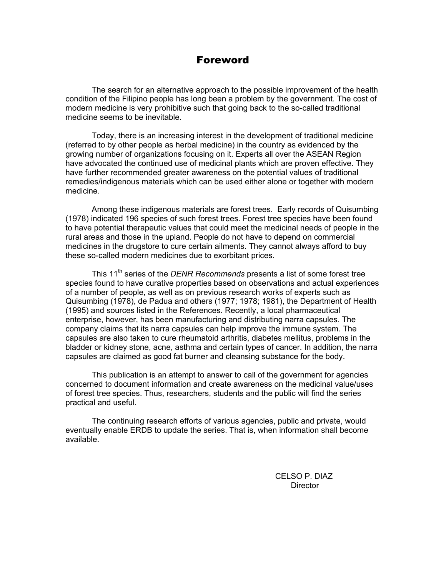## Foreword

 The search for an alternative approach to the possible improvement of the health condition of the Filipino people has long been a problem by the government. The cost of modern medicine is very prohibitive such that going back to the so-called traditional medicine seems to be inevitable.

Today, there is an increasing interest in the development of traditional medicine (referred to by other people as herbal medicine) in the country as evidenced by the growing number of organizations focusing on it. Experts all over the ASEAN Region have advocated the continued use of medicinal plants which are proven effective. They have further recommended greater awareness on the potential values of traditional remedies/indigenous materials which can be used either alone or together with modern medicine.

Among these indigenous materials are forest trees. Early records of Quisumbing (1978) indicated 196 species of such forest trees. Forest tree species have been found to have potential therapeutic values that could meet the medicinal needs of people in the rural areas and those in the upland. People do not have to depend on commercial medicines in the drugstore to cure certain ailments. They cannot always afford to buy these so-called modern medicines due to exorbitant prices.

This 11th series of the *DENR Recommends* presents a list of some forest tree species found to have curative properties based on observations and actual experiences of a number of people, as well as on previous research works of experts such as Quisumbing (1978), de Padua and others (1977; 1978; 1981), the Department of Health (1995) and sources listed in the References. Recently, a local pharmaceutical enterprise, however, has been manufacturing and distributing narra capsules. The company claims that its narra capsules can help improve the immune system. The capsules are also taken to cure rheumatoid arthritis, diabetes mellitus, problems in the bladder or kidney stone, acne, asthma and certain types of cancer. In addition, the narra capsules are claimed as good fat burner and cleansing substance for the body.

This publication is an attempt to answer to call of the government for agencies concerned to document information and create awareness on the medicinal value/uses of forest tree species. Thus, researchers, students and the public will find the series practical and useful.

The continuing research efforts of various agencies, public and private, would eventually enable ERDB to update the series. That is, when information shall become available.

> CELSO P. DIAZ **Director**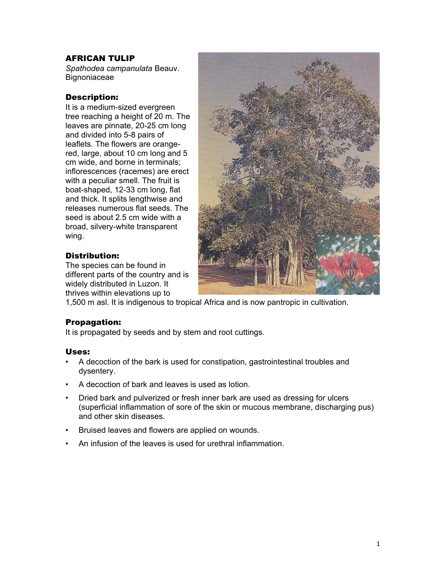## AFRICAN TULIP

*Spathodea campanulata* Beauv. **Bignoniaceae** 

## Description:

It is a medium-sized evergreen tree reaching a height of 20 m. The leaves are pinnate, 20-25 cm long and divided into 5-8 pairs of leaflets. The flowers are orangered, large, about 10 cm long and 5 cm wide, and borne in terminals; inflorescences (racemes) are erect with a peculiar smell. The fruit is boat-shaped, 12-33 cm long, flat and thick. It splits lengthwise and releases numerous flat seeds. The seed is about 2.5 cm wide with a broad, silvery-white transparent wing.

## Distribution:

The species can be found in different parts of the country and is widely distributed in Luzon. It thrives within elevations up to



1,500 m asl. It is indigenous to tropical Africa and is now pantropic in cultivation.

## Propagation:

It is propagated by seeds and by stem and root cuttings.

- A decoction of the bark is used for constipation, gastrointestinal troubles and dysentery.
- A decoction of bark and leaves is used as lotion.
- Dried bark and pulverized or fresh inner bark are used as dressing for ulcers (superficial inflammation of sore of the skin or mucous membrane, discharging pus) and other skin diseases.
- Bruised leaves and flowers are applied on wounds.
- An infusion of the leaves is used for urethral inflammation.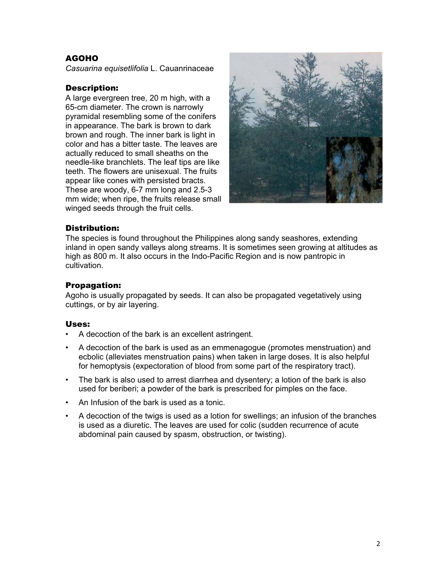## AGOHO

*Casuarina equisetlifolia* L. Cauanrinaceae

#### Description:

A large evergreen tree, 20 m high, with a 65-cm diameter. The crown is narrowly pyramidal resembling some of the conifers in appearance. The bark is brown to dark brown and rough. The inner bark is light in color and has a bitter taste. The leaves are actually reduced to small sheaths on the needle-like branchlets. The leaf tips are like teeth. The flowers are unisexual. The fruits appear like cones with persisted bracts. These are woody, 6-7 mm long and 2.5-3 mm wide; when ripe, the fruits release small winged seeds through the fruit cells.



#### Distribution:

The species is found throughout the Philippines along sandy seashores, extending inland in open sandy valleys along streams. It is sometimes seen growing at altitudes as high as 800 m. It also occurs in the Indo-Pacific Region and is now pantropic in cultivation.

#### Propagation:

Agoho is usually propagated by seeds. It can also be propagated vegetatively using cuttings, or by air layering.

- A decoction of the bark is an excellent astringent.
- A decoction of the bark is used as an emmenagogue (promotes menstruation) and ecbolic (alleviates menstruation pains) when taken in large doses. It is also helpful for hemoptysis (expectoration of blood from some part of the respiratory tract).
- The bark is also used to arrest diarrhea and dysentery; a lotion of the bark is also used for beriberi; a powder of the bark is prescribed for pimples on the face.
- An Infusion of the bark is used as a tonic.
- A decoction of the twigs is used as a lotion for swellings; an infusion of the branches is used as a diuretic. The leaves are used for colic (sudden recurrence of acute abdominal pain caused by spasm, obstruction, or twisting).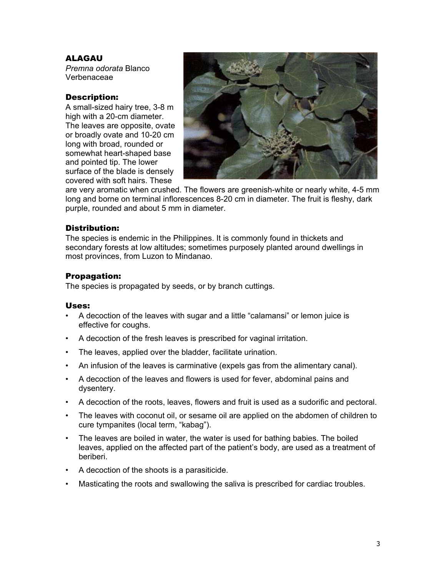## ALAGAU

*Premna odorata* Blanco Verbenaceae

## Description:

A small-sized hairy tree, 3-8 m high with a 20-cm diameter. The leaves are opposite, ovate or broadly ovate and 10-20 cm long with broad, rounded or somewhat heart-shaped base and pointed tip. The lower surface of the blade is densely covered with soft hairs. These



are very aromatic when crushed. The flowers are greenish-white or nearly white, 4-5 mm long and borne on terminal inflorescences 8-20 cm in diameter. The fruit is fleshy, dark purple, rounded and about 5 mm in diameter.

## Distribution:

The species is endemic in the Philippines. It is commonly found in thickets and secondary forests at low altitudes; sometimes purposely planted around dwellings in most provinces, from Luzon to Mindanao.

## Propagation:

The species is propagated by seeds, or by branch cuttings.

- A decoction of the leaves with sugar and a little "calamansi" or lemon juice is effective for coughs.
- A decoction of the fresh leaves is prescribed for vaginal irritation.
- The leaves, applied over the bladder, facilitate urination.
- An infusion of the leaves is carminative (expels gas from the alimentary canal).
- A decoction of the leaves and flowers is used for fever, abdominal pains and dysentery.
- A decoction of the roots, leaves, flowers and fruit is used as a sudorific and pectoral.
- The leaves with coconut oil, or sesame oil are applied on the abdomen of children to cure tympanites (local term, "kabag").
- The leaves are boiled in water, the water is used for bathing babies. The boiled leaves, applied on the affected part of the patient's body, are used as a treatment of beriberi.
- A decoction of the shoots is a parasiticide.
- Masticating the roots and swallowing the saliva is prescribed for cardiac troubles.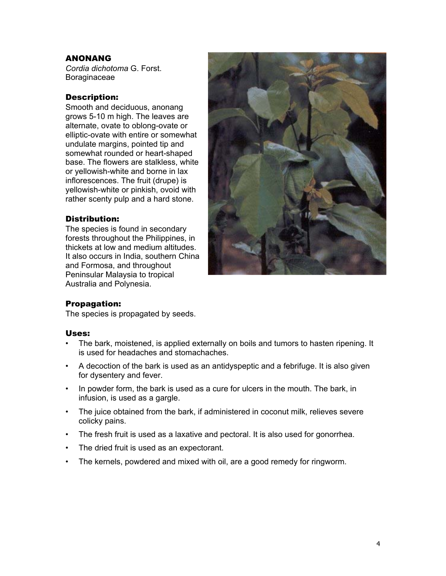## ANONANG

*Cordia dichotoma* G. Forst. Boraginaceae

## Description:

Smooth and deciduous, anonang grows 5-10 m high. The leaves are alternate, ovate to oblong-ovate or elliptic-ovate with entire or somewhat undulate margins, pointed tip and somewhat rounded or heart-shaped base. The flowers are stalkless, white or yellowish-white and borne in lax inflorescences. The fruit (drupe) is yellowish-white or pinkish, ovoid with rather scenty pulp and a hard stone.

#### Distribution:

The species is found in secondary forests throughout the Philippines, in thickets at low and medium altitudes. It also occurs in India, southern China and Formosa, and throughout Peninsular Malaysia to tropical Australia and Polynesia.



#### Propagation:

The species is propagated by seeds.

- The bark, moistened, is applied externally on boils and tumors to hasten ripening. It is used for headaches and stomachaches.
- A decoction of the bark is used as an antidyspeptic and a febrifuge. It is also given for dysentery and fever.
- In powder form, the bark is used as a cure for ulcers in the mouth. The bark, in infusion, is used as a gargle.
- The juice obtained from the bark, if administered in coconut milk, relieves severe colicky pains.
- The fresh fruit is used as a laxative and pectoral. It is also used for gonorrhea.
- The dried fruit is used as an expectorant.
- The kernels, powdered and mixed with oil, are a good remedy for ringworm.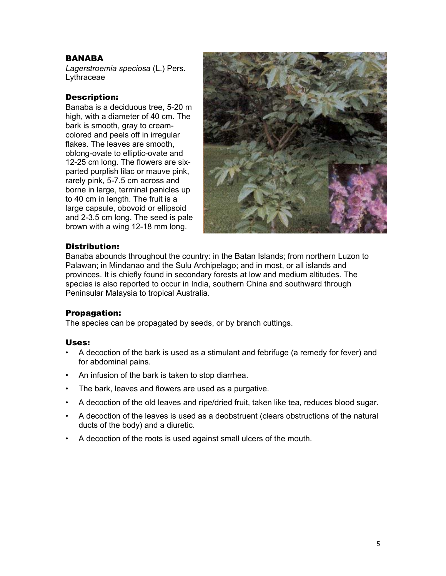## BANABA

*Lagerstroemia speciosa* (L.) Pers. Lythraceae

#### Description:

Banaba is a deciduous tree, 5-20 m high, with a diameter of 40 cm. The bark is smooth, gray to creamcolored and peels off in irregular flakes. The leaves are smooth, oblong-ovate to elliptic-ovate and 12-25 cm long. The flowers are sixparted purplish lilac or mauve pink, rarely pink, 5-7.5 cm across and borne in large, terminal panicles up to 40 cm in length. The fruit is a large capsule, obovoid or ellipsoid and 2-3.5 cm long. The seed is pale brown with a wing 12-18 mm long.



#### Distribution:

Banaba abounds throughout the country: in the Batan Islands; from northern Luzon to Palawan; in Mindanao and the Sulu Archipelago; and in most, or all islands and provinces. It is chiefly found in secondary forests at low and medium altitudes. The species is also reported to occur in India, southern China and southward through Peninsular Malaysia to tropical Australia.

#### Propagation:

The species can be propagated by seeds, or by branch cuttings.

- A decoction of the bark is used as a stimulant and febrifuge (a remedy for fever) and for abdominal pains.
- An infusion of the bark is taken to stop diarrhea.
- The bark, leaves and flowers are used as a purgative.
- A decoction of the old leaves and ripe/dried fruit, taken like tea, reduces blood sugar.
- A decoction of the leaves is used as a deobstruent (clears obstructions of the natural ducts of the body) and a diuretic.
- A decoction of the roots is used against small ulcers of the mouth.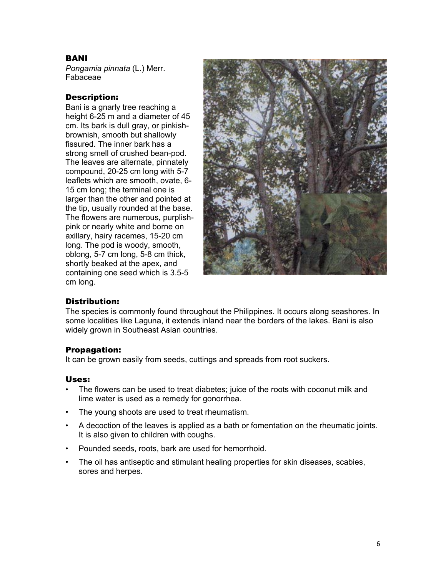## BANI

*Pongamia pinnata* (L.) Merr. Fabaceae

## Description:

Bani is a gnarly tree reaching a height 6-25 m and a diameter of 45 cm. Its bark is dull gray, or pinkishbrownish, smooth but shallowly fissured. The inner bark has a strong smell of crushed bean-pod. The leaves are alternate, pinnately compound, 20-25 cm long with 5-7 leaflets which are smooth, ovate, 6- 15 cm long; the terminal one is larger than the other and pointed at the tip, usually rounded at the base. The flowers are numerous, purplishpink or nearly white and borne on axillary, hairy racemes, 15-20 cm long. The pod is woody, smooth, oblong, 5-7 cm long, 5-8 cm thick, shortly beaked at the apex, and containing one seed which is 3.5-5 cm long.



#### Distribution:

The species is commonly found throughout the Philippines. It occurs along seashores. In some localities like Laguna, it extends inland near the borders of the lakes. Bani is also widely grown in Southeast Asian countries.

## Propagation:

It can be grown easily from seeds, cuttings and spreads from root suckers.

- The flowers can be used to treat diabetes; juice of the roots with coconut milk and lime water is used as a remedy for gonorrhea.
- The young shoots are used to treat rheumatism.
- A decoction of the leaves is applied as a bath or fomentation on the rheumatic joints. It is also given to children with coughs.
- Pounded seeds, roots, bark are used for hemorrhoid.
- The oil has antiseptic and stimulant healing properties for skin diseases, scabies, sores and herpes.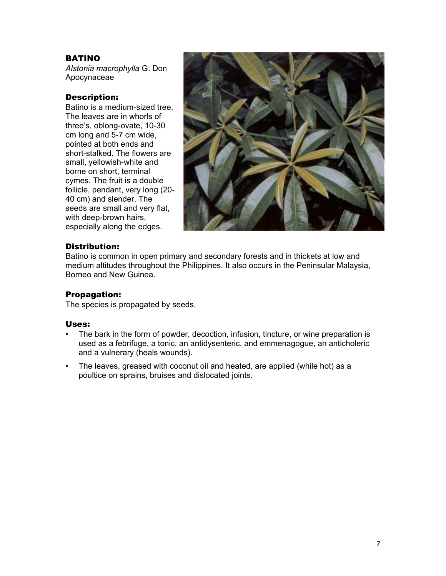## BATINO

*Alstonia macrophylla* G. Don Apocynaceae

## Description:

Batino is a medium-sized tree. The leaves are in whorls of three's, oblong-ovate, 10-30 cm long and 5-7 cm wide, pointed at both ends and short-stalked. The flowers are small, yellowish-white and borne on short, terminal cymes. The fruit is a double follicle, pendant, very long (20- 40 cm) and slender. The seeds are small and very flat, with deep-brown hairs, especially along the edges.



## Distribution:

Batino is common in open primary and secondary forests and in thickets at low and medium altitudes throughout the Philippines. It also occurs in the Peninsular Malaysia, Borneo and New Guinea.

#### Propagation:

The species is propagated by seeds.

- The bark in the form of powder, decoction, infusion, tincture, or wine preparation is used as a febrifuge, a tonic, an antidysenteric, and emmenagogue, an anticholeric and a vulnerary (heals wounds).
- The leaves, greased with coconut oil and heated, are applied (while hot) as a poultice on sprains, bruises and dislocated joints.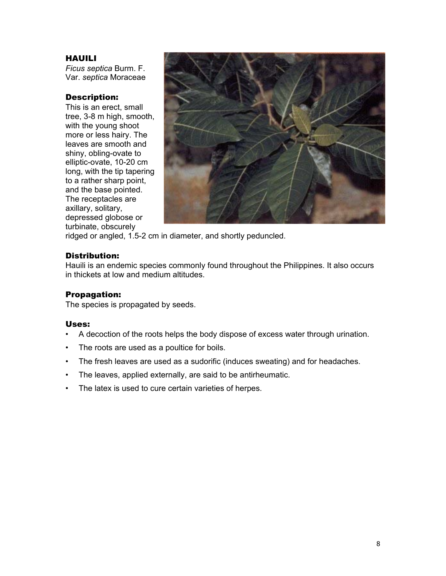## HAUILI

*Ficus septica* Burm. F. Var. *septica* Moraceae

## Description:

This is an erect, small tree, 3-8 m high, smooth, with the young shoot more or less hairy. The leaves are smooth and shiny, obling-ovate to elliptic-ovate, 10-20 cm long, with the tip tapering to a rather sharp point, and the base pointed. The receptacles are axillary, solitary, depressed globose or turbinate, obscurely



ridged or angled, 1.5-2 cm in diameter, and shortly peduncled.

#### Distribution:

Hauili is an endemic species commonly found throughout the Philippines. It also occurs in thickets at low and medium altitudes.

#### Propagation:

The species is propagated by seeds.

- A decoction of the roots helps the body dispose of excess water through urination.
- The roots are used as a poultice for boils.
- The fresh leaves are used as a sudorific (induces sweating) and for headaches.
- The leaves, applied externally, are said to be antirheumatic.
- The latex is used to cure certain varieties of herpes.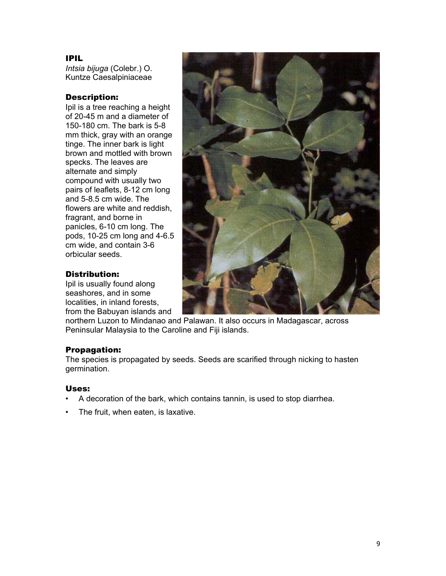## IPIL

*Intsia bijuga* (Colebr.) O. Kuntze Caesalpiniaceae

## Description:

Ipil is a tree reaching a height of 20-45 m and a diameter of 150-180 cm. The bark is 5-8 mm thick, gray with an orange tinge. The inner bark is light brown and mottled with brown specks. The leaves are alternate and simply compound with usually two pairs of leaflets, 8-12 cm long and 5-8.5 cm wide. The flowers are white and reddish, fragrant, and borne in panicles, 6-10 cm long. The pods, 10-25 cm long and 4-6.5 cm wide, and contain 3-6 orbicular seeds.



## Distribution:

Ipil is usually found along seashores, and in some localities, in inland forests, from the Babuyan islands and

northern Luzon to Mindanao and Palawan. It also occurs in Madagascar, across Peninsular Malaysia to the Caroline and Fiji islands.

## Propagation:

The species is propagated by seeds. Seeds are scarified through nicking to hasten germination.

- A decoration of the bark, which contains tannin, is used to stop diarrhea.
- The fruit, when eaten, is laxative.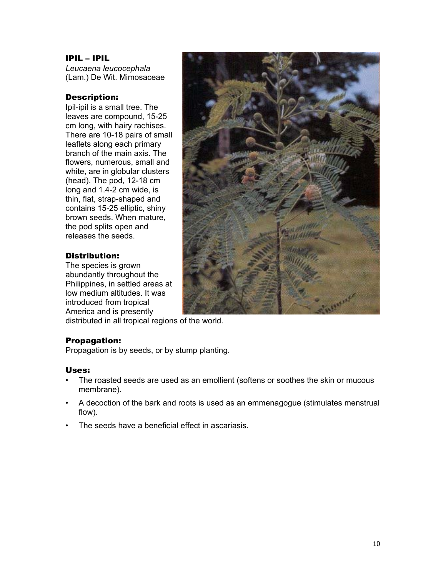## IPIL – IPIL

*Leucaena leucocephala* (Lam.) De Wit. Mimosaceae

## Description:

Ipil-ipil is a small tree. The leaves are compound, 15-25 cm long, with hairy rachises. There are 10-18 pairs of small leaflets along each primary branch of the main axis. The flowers, numerous, small and white, are in globular clusters (head). The pod, 12-18 cm long and 1.4-2 cm wide, is thin, flat, strap-shaped and contains 15-25 elliptic, shiny brown seeds. When mature, the pod splits open and releases the seeds.

## Distribution:

The species is grown abundantly throughout the Philippines, in settled areas at low medium altitudes. It was introduced from tropical America and is presently



distributed in all tropical regions of the world.

#### Propagation:

Propagation is by seeds, or by stump planting.

- The roasted seeds are used as an emollient (softens or soothes the skin or mucous membrane).
- A decoction of the bark and roots is used as an emmenagogue (stimulates menstrual flow).
- The seeds have a beneficial effect in ascariasis.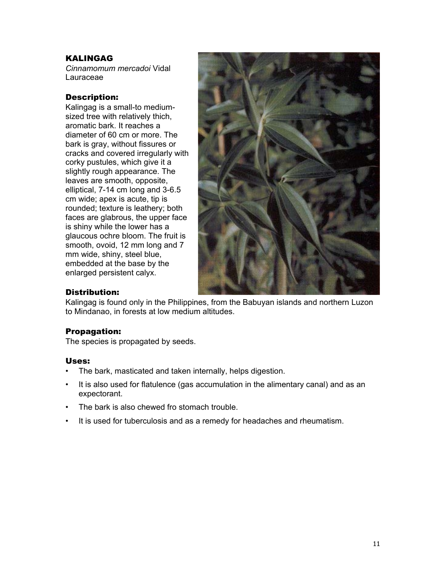## **KALINGAG**

*Cinnamomum mercadoi* Vidal Lauraceae

## Description:

Kalingag is a small-to mediumsized tree with relatively thich, aromatic bark. It reaches a diameter of 60 cm or more. The bark is gray, without fissures or cracks and covered irregularly with corky pustules, which give it a slightly rough appearance. The leaves are smooth, opposite, elliptical, 7-14 cm long and 3-6.5 cm wide; apex is acute, tip is rounded; texture is leathery; both faces are glabrous, the upper face is shiny while the lower has a glaucous ochre bloom. The fruit is smooth, ovoid, 12 mm long and 7 mm wide, shiny, steel blue, embedded at the base by the enlarged persistent calyx.



## Distribution:

Kalingag is found only in the Philippines, from the Babuyan islands and northern Luzon to Mindanao, in forests at low medium altitudes.

## Propagation:

The species is propagated by seeds.

- The bark, masticated and taken internally, helps digestion.
- It is also used for flatulence (gas accumulation in the alimentary canal) and as an expectorant.
- The bark is also chewed fro stomach trouble.
- It is used for tuberculosis and as a remedy for headaches and rheumatism.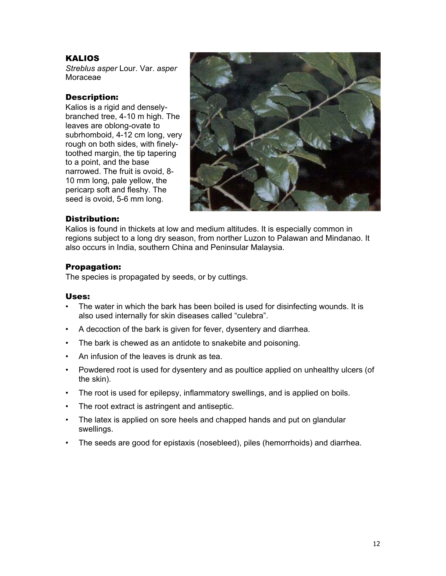## **KALIOS**

*Streblus asper* Lour. Var. *asper* Moraceae

#### Description:

Kalios is a rigid and denselybranched tree, 4-10 m high. The leaves are oblong-ovate to subrhomboid, 4-12 cm long, very rough on both sides, with finelytoothed margin, the tip tapering to a point, and the base narrowed. The fruit is ovoid, 8- 10 mm long, pale yellow, the pericarp soft and fleshy. The seed is ovoid, 5-6 mm long.



#### Distribution:

Kalios is found in thickets at low and medium altitudes. It is especially common in regions subject to a long dry season, from norther Luzon to Palawan and Mindanao. It also occurs in India, southern China and Peninsular Malaysia.

#### Propagation:

The species is propagated by seeds, or by cuttings.

- The water in which the bark has been boiled is used for disinfecting wounds. It is also used internally for skin diseases called "culebra".
- A decoction of the bark is given for fever, dysentery and diarrhea.
- The bark is chewed as an antidote to snakebite and poisoning.
- An infusion of the leaves is drunk as tea.
- Powdered root is used for dysentery and as poultice applied on unhealthy ulcers (of the skin).
- The root is used for epilepsy, inflammatory swellings, and is applied on boils.
- The root extract is astringent and antiseptic.
- The latex is applied on sore heels and chapped hands and put on glandular swellings.
- The seeds are good for epistaxis (nosebleed), piles (hemorrhoids) and diarrhea.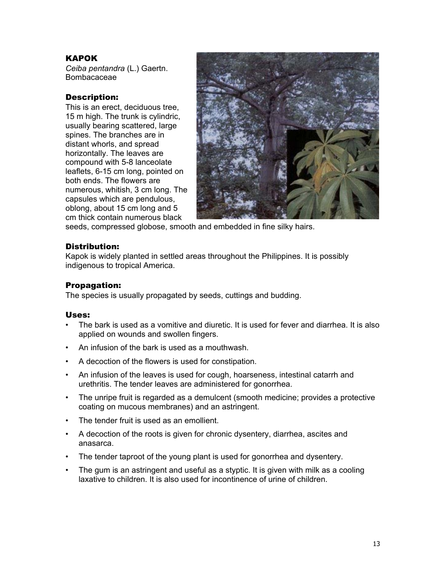## KAPOK

*Ceiba pentandra* (L.) Gaertn. Bombacaceae

## Description:

This is an erect, deciduous tree, 15 m high. The trunk is cylindric, usually bearing scattered, large spines. The branches are in distant whorls, and spread horizontally. The leaves are compound with 5-8 lanceolate leaflets, 6-15 cm long, pointed on both ends. The flowers are numerous, whitish, 3 cm long. The capsules which are pendulous, oblong, about 15 cm long and 5 cm thick contain numerous black



seeds, compressed globose, smooth and embedded in fine silky hairs.

#### Distribution:

Kapok is widely planted in settled areas throughout the Philippines. It is possibly indigenous to tropical America.

## Propagation:

The species is usually propagated by seeds, cuttings and budding.

- The bark is used as a vomitive and diuretic. It is used for fever and diarrhea. It is also applied on wounds and swollen fingers.
- An infusion of the bark is used as a mouthwash.
- A decoction of the flowers is used for constipation.
- An infusion of the leaves is used for cough, hoarseness, intestinal catarrh and urethritis. The tender leaves are administered for gonorrhea.
- The unripe fruit is regarded as a demulcent (smooth medicine; provides a protective coating on mucous membranes) and an astringent.
- The tender fruit is used as an emollient.
- A decoction of the roots is given for chronic dysentery, diarrhea, ascites and anasarca.
- The tender taproot of the young plant is used for gonorrhea and dysentery.
- The gum is an astringent and useful as a styptic. It is given with milk as a cooling laxative to children. It is also used for incontinence of urine of children.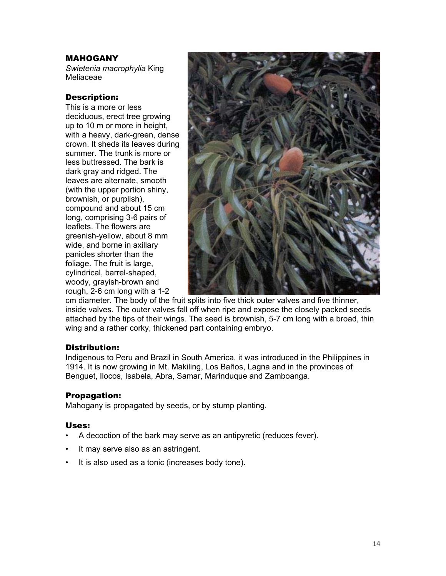## MAHOGANY

*Swietenia macrophylia* King Meliaceae

## Description:

This is a more or less deciduous, erect tree growing up to 10 m or more in height, with a heavy, dark-green, dense crown. It sheds its leaves during summer. The trunk is more or less buttressed. The bark is dark gray and ridged. The leaves are alternate, smooth (with the upper portion shiny, brownish, or purplish), compound and about 15 cm long, comprising 3-6 pairs of leaflets. The flowers are greenish-yellow, about 8 mm wide, and borne in axillary panicles shorter than the foliage. The fruit is large, cylindrical, barrel-shaped, woody, grayish-brown and rough, 2-6 cm long with a 1-2



cm diameter. The body of the fruit splits into five thick outer valves and five thinner, inside valves. The outer valves fall off when ripe and expose the closely packed seeds attached by the tips of their wings. The seed is brownish, 5-7 cm long with a broad, thin wing and a rather corky, thickened part containing embryo.

#### Distribution:

Indigenous to Peru and Brazil in South America, it was introduced in the Philippines in 1914. It is now growing in Mt. Makiling, Los Baños, Lagna and in the provinces of Benguet, Ilocos, Isabela, Abra, Samar, Marinduque and Zamboanga.

#### Propagation:

Mahogany is propagated by seeds, or by stump planting.

- A decoction of the bark may serve as an antipyretic (reduces fever).
- It may serve also as an astringent.
- It is also used as a tonic (increases body tone).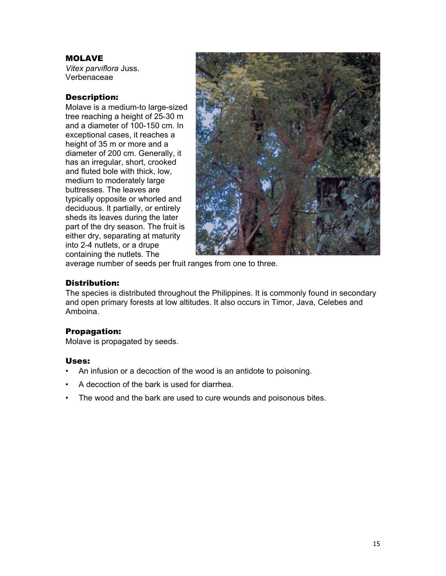## MOLAVE

*Vitex parviflora* Juss. Verbenaceae

## Description:

Molave is a medium-to large-sized tree reaching a height of 25-30 m and a diameter of 100-150 cm. In exceptional cases, it reaches a height of 35 m or more and a diameter of 200 cm. Generally, it has an irregular, short, crooked and fluted bole with thick, low, medium to moderately large buttresses. The leaves are typically opposite or whorled and deciduous. It partially, or entirely sheds its leaves during the later part of the dry season. The fruit is either dry, separating at maturity into 2-4 nutlets, or a drupe containing the nutlets. The



average number of seeds per fruit ranges from one to three.

## Distribution:

The species is distributed throughout the Philippines. It is commonly found in secondary and open primary forests at low altitudes. It also occurs in Timor, Java, Celebes and Amboina.

## Propagation:

Molave is propagated by seeds.

- An infusion or a decoction of the wood is an antidote to poisoning.
- A decoction of the bark is used for diarrhea.
- The wood and the bark are used to cure wounds and poisonous bites.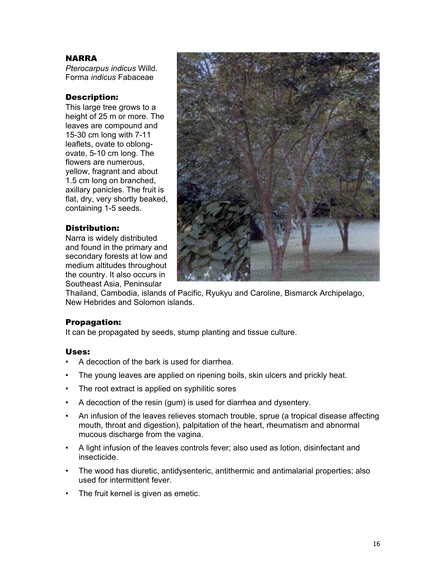#### NARRA

*Pterocarpus indicus* Willd. Forma *indicus* Fabaceae

## Description:

This large tree grows to a height of 25 m or more. The leaves are compound and 15-30 cm long with 7-11 leaflets, ovate to oblongovate, 5-10 cm long. The flowers are numerous, yellow, fragrant and about 1.5 cm long on branched, axillary panicles. The fruit is flat, dry, very shortly beaked, containing 1-5 seeds.

## Distribution:

Narra is widely distributed and found in the primary and secondary forests at low and medium altitudes throughout the country. It also occurs in Southeast Asia, Peninsular



Thailand, Cambodia, islands of Pacific, Ryukyu and Caroline, Bismarck Archipelago, New Hebrides and Solomon islands.

#### Propagation:

It can be propagated by seeds, stump planting and tissue culture.

- A decoction of the bark is used for diarrhea.
- The young leaves are applied on ripening boils, skin ulcers and prickly heat.
- The root extract is applied on syphilitic sores
- A decoction of the resin (gum) is used for diarrhea and dysentery.
- An infusion of the leaves relieves stomach trouble, sprue (a tropical disease affecting mouth, throat and digestion), palpitation of the heart, rheumatism and abnormal mucous discharge from the vagina.
- A light infusion of the leaves controls fever; also used as lotion, disinfectant and insecticide.
- The wood has diuretic, antidysenteric, antithermic and antimalarial properties; also used for intermittent fever.
- The fruit kernel is given as emetic.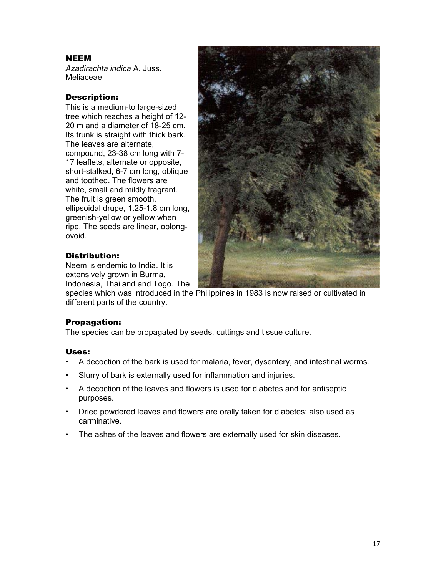## NEEM

*Azadirachta indica* A. Juss. Meliaceae

## Description:

This is a medium-to large-sized tree which reaches a height of 12- 20 m and a diameter of 18-25 cm. Its trunk is straight with thick bark. The leaves are alternate, compound, 23-38 cm long with 7- 17 leaflets, alternate or opposite, short-stalked, 6-7 cm long, oblique and toothed. The flowers are white, small and mildly fragrant. The fruit is green smooth, ellipsoidal drupe, 1.25-1.8 cm long, greenish-yellow or yellow when ripe. The seeds are linear, oblongovoid.



## Distribution:

Neem is endemic to India. It is extensively grown in Burma, Indonesia, Thailand and Togo. The

species which was introduced in the Philippines in 1983 is now raised or cultivated in different parts of the country.

## Propagation:

The species can be propagated by seeds, cuttings and tissue culture.

- A decoction of the bark is used for malaria, fever, dysentery, and intestinal worms.
- Slurry of bark is externally used for inflammation and injuries.
- A decoction of the leaves and flowers is used for diabetes and for antiseptic purposes.
- Dried powdered leaves and flowers are orally taken for diabetes; also used as carminative.
- The ashes of the leaves and flowers are externally used for skin diseases.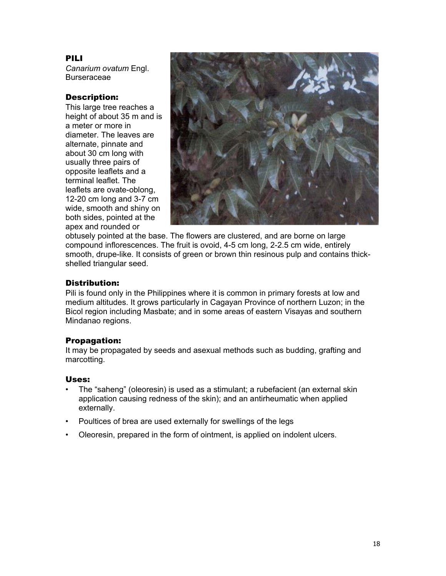## PILI

*Canarium ovatum* Engl. **Burseraceae** 

## Description:

This large tree reaches a height of about 35 m and is a meter or more in diameter. The leaves are alternate, pinnate and about 30 cm long with usually three pairs of opposite leaflets and a terminal leaflet. The leaflets are ovate-oblong, 12-20 cm long and 3-7 cm wide, smooth and shiny on both sides, pointed at the apex and rounded or



obtusely pointed at the base. The flowers are clustered, and are borne on large compound inflorescences. The fruit is ovoid, 4-5 cm long, 2-2.5 cm wide, entirely smooth, drupe-like. It consists of green or brown thin resinous pulp and contains thickshelled triangular seed.

## Distribution:

Pili is found only in the Philippines where it is common in primary forests at low and medium altitudes. It grows particularly in Cagayan Province of northern Luzon; in the Bicol region including Masbate; and in some areas of eastern Visayas and southern Mindanao regions.

## Propagation:

It may be propagated by seeds and asexual methods such as budding, grafting and marcotting.

- The "saheng" (oleoresin) is used as a stimulant; a rubefacient (an external skin application causing redness of the skin); and an antirheumatic when applied externally.
- Poultices of brea are used externally for swellings of the legs
- Oleoresin, prepared in the form of ointment, is applied on indolent ulcers.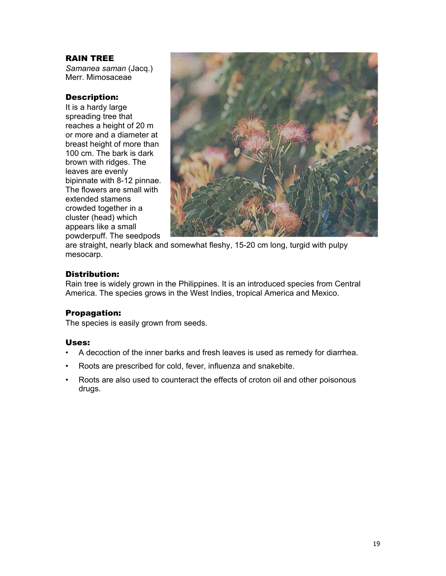#### RAIN TREE

*Samanea saman* (Jacq.) Merr. Mimosaceae

#### Description:

It is a hardy large spreading tree that reaches a height of 20 m or more and a diameter at breast height of more than 100 cm. The bark is dark brown with ridges. The leaves are evenly bipinnate with 8-12 pinnae. The flowers are small with extended stamens crowded together in a cluster (head) which appears like a small powderpuff. The seedpods



are straight, nearly black and somewhat fleshy, 15-20 cm long, turgid with pulpy mesocarp.

## Distribution:

Rain tree is widely grown in the Philippines. It is an introduced species from Central America. The species grows in the West Indies, tropical America and Mexico.

#### Propagation:

The species is easily grown from seeds.

- A decoction of the inner barks and fresh leaves is used as remedy for diarrhea.
- Roots are prescribed for cold, fever, influenza and snakebite.
- Roots are also used to counteract the effects of croton oil and other poisonous drugs.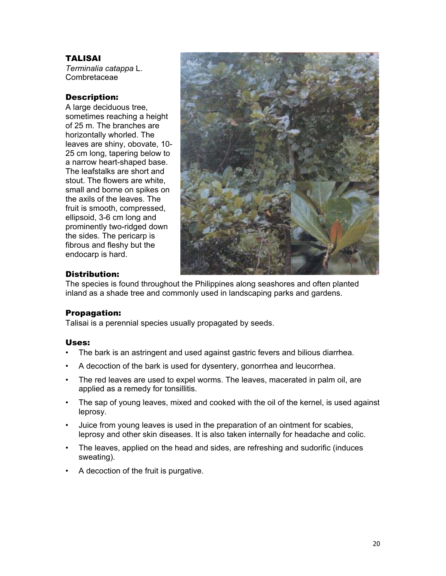## TALISAI

*Terminalia catappa* L. Combretaceae

## Description:

A large deciduous tree, sometimes reaching a height of 25 m. The branches are horizontally whorled. The leaves are shiny, obovate, 10- 25 cm long, tapering below to a narrow heart-shaped base. The leafstalks are short and stout. The flowers are white, small and borne on spikes on the axils of the leaves. The fruit is smooth, compressed, ellipsoid, 3-6 cm long and prominently two-ridged down the sides. The pericarp is fibrous and fleshy but the endocarp is hard.



## Distribution:

The species is found throughout the Philippines along seashores and often planted inland as a shade tree and commonly used in landscaping parks and gardens.

## Propagation:

Talisai is a perennial species usually propagated by seeds.

- The bark is an astringent and used against gastric fevers and bilious diarrhea.
- A decoction of the bark is used for dysentery, gonorrhea and leucorrhea.
- The red leaves are used to expel worms. The leaves, macerated in palm oil, are applied as a remedy for tonsillitis.
- The sap of young leaves, mixed and cooked with the oil of the kernel, is used against leprosy.
- Juice from young leaves is used in the preparation of an ointment for scabies, leprosy and other skin diseases. It is also taken internally for headache and colic.
- The leaves, applied on the head and sides, are refreshing and sudorific (induces sweating).
- A decoction of the fruit is purgative.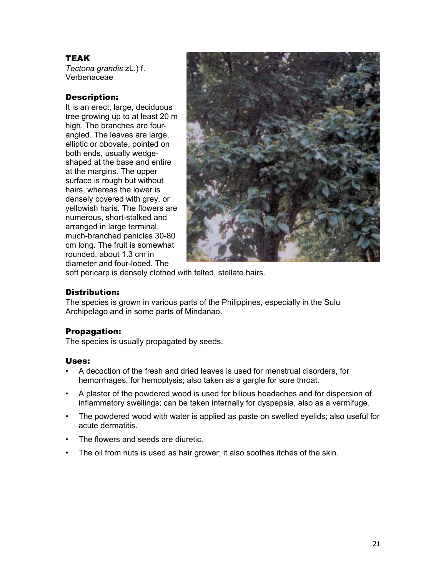## TEAK

*Tectona grandis* zL.) f. Verbenaceae

## Description:

It is an erect, large, deciduous tree growing up to at least 20 m high. The branches are fourangled. The leaves are large, elliptic or obovate, pointed on both ends, usually wedgeshaped at the base and entire at the margins. The upper surface is rough but without hairs, whereas the lower is densely covered with grey, or yellowish haris. The flowers are numerous, short-stalked and arranged in large terminal, much-branched panicles 30-80 cm long. The fruit is somewhat rounded, about 1.3 cm in diameter and four-lobed. The



soft pericarp is densely clothed with felted, stellate hairs.

## Distribution:

The species is grown in various parts of the Philippines, especially in the Sulu Archipelago and in some parts of Mindanao.

## Propagation:

The species is usually propagated by seeds.

- A decoction of the fresh and dried leaves is used for menstrual disorders, for hemorrhages, for hemoptysis; also taken as a gargle for sore throat.
- A plaster of the powdered wood is used for bilious headaches and for dispersion of inflammatory swellings; can be taken internally for dyspepsia, also as a vermifuge.
- The powdered wood with water is applied as paste on swelled eyelids; also useful for acute dermatitis.
- The flowers and seeds are diuretic.
- The oil from nuts is used as hair grower; it also soothes itches of the skin.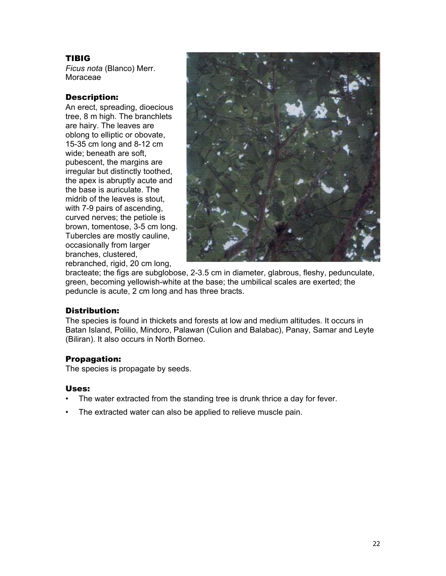## TIBIG

*Ficus nota* (Blanco) Merr. Moraceae

## Description:

An erect, spreading, dioecious tree, 8 m high. The branchlets are hairy. The leaves are oblong to elliptic or obovate, 15-35 cm long and 8-12 cm wide; beneath are soft, pubescent, the margins are irregular but distinctly toothed, the apex is abruptly acute and the base is auriculate. The midrib of the leaves is stout, with 7-9 pairs of ascending, curved nerves; the petiole is brown, tomentose, 3-5 cm long. Tubercles are mostly cauline, occasionally from larger branches, clustered, rebranched, rigid, 20 cm long,



bracteate; the figs are subglobose, 2-3.5 cm in diameter, glabrous, fleshy, pedunculate, green, becoming yellowish-white at the base; the umbilical scales are exerted; the peduncle is acute, 2 cm long and has three bracts.

#### Distribution:

The species is found in thickets and forests at low and medium altitudes. It occurs in Batan Island, Polilio, Mindoro, Palawan (Culion and Balabac), Panay, Samar and Leyte (Biliran). It also occurs in North Borneo.

## Propagation:

The species is propagate by seeds.

- The water extracted from the standing tree is drunk thrice a day for fever.
- The extracted water can also be applied to relieve muscle pain.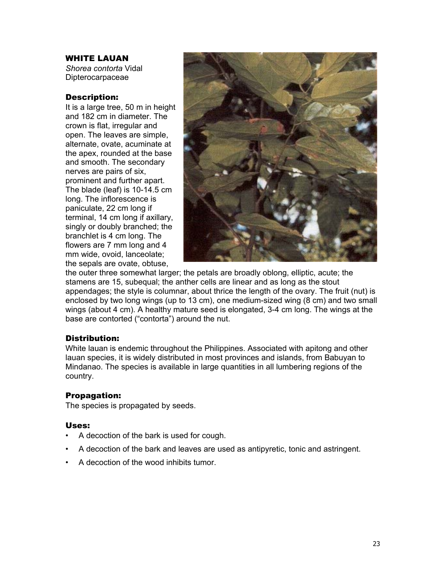#### WHITE LAUAN

*Shorea contorta* Vidal Dipterocarpaceae

#### Description:

It is a large tree, 50 m in height and 182 cm in diameter. The crown is flat, irregular and open. The leaves are simple, alternate, ovate, acuminate at the apex, rounded at the base and smooth. The secondary nerves are pairs of six, prominent and further apart. The blade (leaf) is 10-14.5 cm long. The inflorescence is paniculate, 22 cm long if terminal, 14 cm long if axillary, singly or doubly branched; the branchlet is 4 cm long. The flowers are 7 mm long and 4 mm wide, ovoid, lanceolate; the sepals are ovate, obtuse,



the outer three somewhat larger; the petals are broadly oblong, elliptic, acute; the stamens are 15, subequal; the anther cells are linear and as long as the stout appendages; the style is columnar, about thrice the length of the ovary. The fruit (nut) is enclosed by two long wings (up to 13 cm), one medium-sized wing (8 cm) and two small wings (about 4 cm). A healthy mature seed is elongated, 3-4 cm long. The wings at the base are contorted ("contorta") around the nut.

#### Distribution:

White lauan is endemic throughout the Philippines. Associated with apitong and other lauan species, it is widely distributed in most provinces and islands, from Babuyan to Mindanao. The species is available in large quantities in all lumbering regions of the country.

#### Propagation:

The species is propagated by seeds.

- A decoction of the bark is used for cough.
- A decoction of the bark and leaves are used as antipyretic, tonic and astringent.
- A decoction of the wood inhibits tumor.